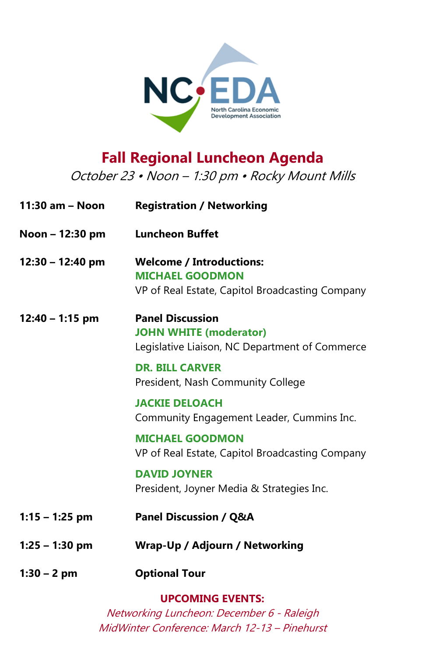

# **Fall Regional Luncheon Agenda**

October 23 • Noon – 1:30 pm • Rocky Mount Mills

| 11:30 am - Noon    | <b>Registration / Networking</b>                                                                             |
|--------------------|--------------------------------------------------------------------------------------------------------------|
| Noon – 12:30 pm    | <b>Luncheon Buffet</b>                                                                                       |
| $12:30 - 12:40$ pm | <b>Welcome / Introductions:</b><br><b>MICHAEL GOODMON</b><br>VP of Real Estate, Capitol Broadcasting Company |
| $12:40 - 1:15$ pm  | <b>Panel Discussion</b><br><b>JOHN WHITE (moderator)</b><br>Legislative Liaison, NC Department of Commerce   |
|                    | <b>DR. BILL CARVER</b><br>President, Nash Community College                                                  |
|                    | <b>JACKIE DELOACH</b><br>Community Engagement Leader, Cummins Inc.                                           |
|                    | <b>MICHAEL GOODMON</b><br>VP of Real Estate, Capitol Broadcasting Company                                    |
|                    | <b>DAVID JOYNER</b><br>President, Joyner Media & Strategies Inc.                                             |
| $1:15 - 1:25$ pm   | <b>Panel Discussion / Q&amp;A</b>                                                                            |
| $1:25 - 1:30$ pm   | Wrap-Up / Adjourn / Networking                                                                               |
| $1:30 - 2$ pm      | <b>Optional Tour</b>                                                                                         |

**UPCOMING EVENTS:**

Networking Luncheon: December 6 - Raleigh MidWinter Conference: March 12-13 – Pinehurst